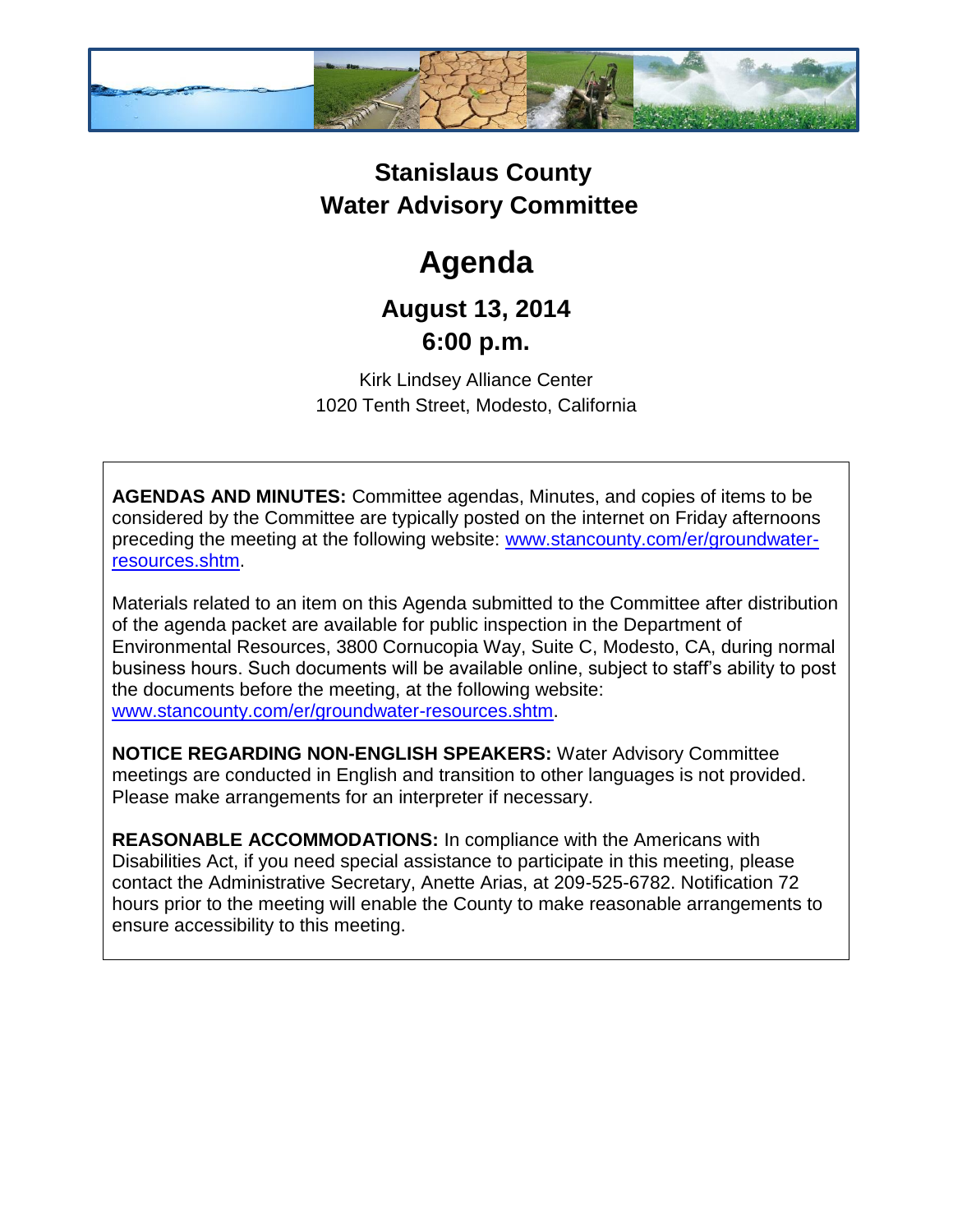

## **Stanislaus County Water Advisory Committee**

# **Agenda**

### **August 13, 2014 6:00 p.m.**

Kirk Lindsey Alliance Center 1020 Tenth Street, Modesto, California

**AGENDAS AND MINUTES:** Committee agendas, Minutes, and copies of items to be considered by the Committee are typically posted on the internet on Friday afternoons preceding the meeting at the following website: [www.stancounty.com/er/groundwater](http://www.stancounty.com/er/groundwater-resources.shtm)[resources.shtm.](http://www.stancounty.com/er/groundwater-resources.shtm)

Materials related to an item on this Agenda submitted to the Committee after distribution of the agenda packet are available for public inspection in the Department of Environmental Resources, 3800 Cornucopia Way, Suite C, Modesto, CA, during normal business hours. Such documents will be available online, subject to staff's ability to post the documents before the meeting, at the following website: [www.stancounty.com/er/groundwater-resources.shtm.](http://www.stancounty.com/er/groundwater-resources.shtm)

**NOTICE REGARDING NON-ENGLISH SPEAKERS:** Water Advisory Committee meetings are conducted in English and transition to other languages is not provided. Please make arrangements for an interpreter if necessary.

**REASONABLE ACCOMMODATIONS:** In compliance with the Americans with Disabilities Act, if you need special assistance to participate in this meeting, please contact the Administrative Secretary, Anette Arias, at 209-525-6782. Notification 72 hours prior to the meeting will enable the County to make reasonable arrangements to ensure accessibility to this meeting.